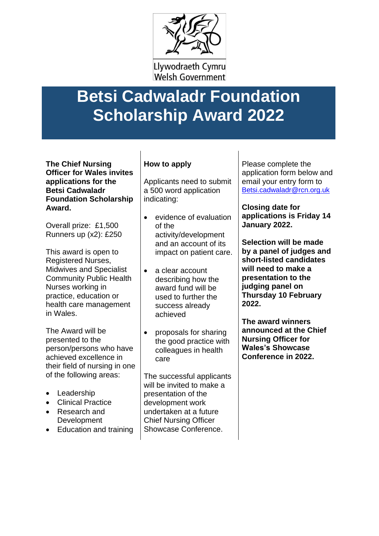

Llywodraeth Cymru **Welsh Government** 

## **Betsi Cadwaladr Foundation Scholarship Award 2022**

**The Chief Nursing Officer for Wales invites applications for the Betsi Cadwaladr Foundation Scholarship Award.**

Overall prize: £1,500 Runners up (x2): £250

This award is open to Registered Nurses, Midwives and Specialist Community Public Health Nurses working in practice, education or health care management in Wales.

The Award will be presented to the person/persons who have achieved excellence in their field of nursing in one of the following areas:

- Leadership
- Clinical Practice
- Research and **Development**
- Education and training

## **How to apply**

Applicants need to submit a 500 word application indicating:

- evidence of evaluation of the activity/development and an account of its impact on patient care.
- a clear account describing how the award fund will be used to further the success already achieved
- proposals for sharing the good practice with colleagues in health care

The successful applicants will be invited to make a presentation of the development work undertaken at a future Chief Nursing Officer Showcase Conference.

Please complete the application form below and email your entry form to [Betsi.cadwaladr@rcn.org.uk](mailto:Betsi.cadwaladr@rcn.org.uk)

**Closing date for applications is Friday 14 January 2022.**

**Selection will be made by a panel of judges and short-listed candidates will need to make a presentation to the judging panel on Thursday 10 February 2022.**

**The award winners announced at the Chief Nursing Officer for Wales's Showcase Conference in 2022.**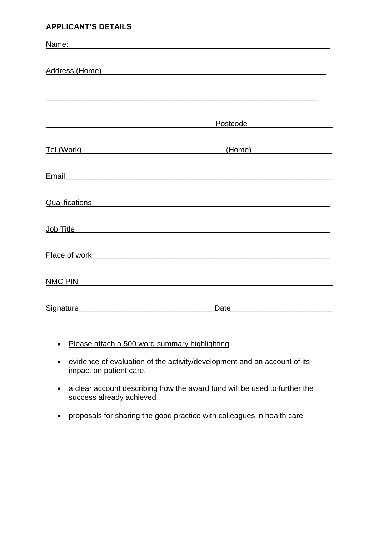## **APPLICANT'S DETAILS**

| Name:<br><u> 1989 - Johann John Stone, meil er fan de ferske fan de ferske fan de ferske fan de ferske fan de ferske fan d</u> |                                                                                                                       |  |
|--------------------------------------------------------------------------------------------------------------------------------|-----------------------------------------------------------------------------------------------------------------------|--|
|                                                                                                                                |                                                                                                                       |  |
| Address (Home)                                                                                                                 | <u> 1989 - Johann John Stone, markin sanadi a shekara 1989 - An tsara 1989 - An tsara 1989 - An tsara 1989 - An t</u> |  |
|                                                                                                                                |                                                                                                                       |  |
|                                                                                                                                |                                                                                                                       |  |
|                                                                                                                                |                                                                                                                       |  |
|                                                                                                                                | Postcode                                                                                                              |  |
|                                                                                                                                | (Home) <b>Home</b>                                                                                                    |  |
| <b>Email</b>                                                                                                                   |                                                                                                                       |  |
|                                                                                                                                |                                                                                                                       |  |
| <b>Qualifications</b>                                                                                                          |                                                                                                                       |  |
|                                                                                                                                |                                                                                                                       |  |
| <u>Job Title_________________________________</u>                                                                              |                                                                                                                       |  |
| Place of work                                                                                                                  |                                                                                                                       |  |
|                                                                                                                                |                                                                                                                       |  |
| <b>NMC PIN</b>                                                                                                                 |                                                                                                                       |  |
|                                                                                                                                |                                                                                                                       |  |
| Signature                                                                                                                      | Date                                                                                                                  |  |

- Please attach a 500 word summary highlighting
- evidence of evaluation of the activity/development and an account of its impact on patient care.
- a clear account describing how the award fund will be used to further the success already achieved
- proposals for sharing the good practice with colleagues in health care